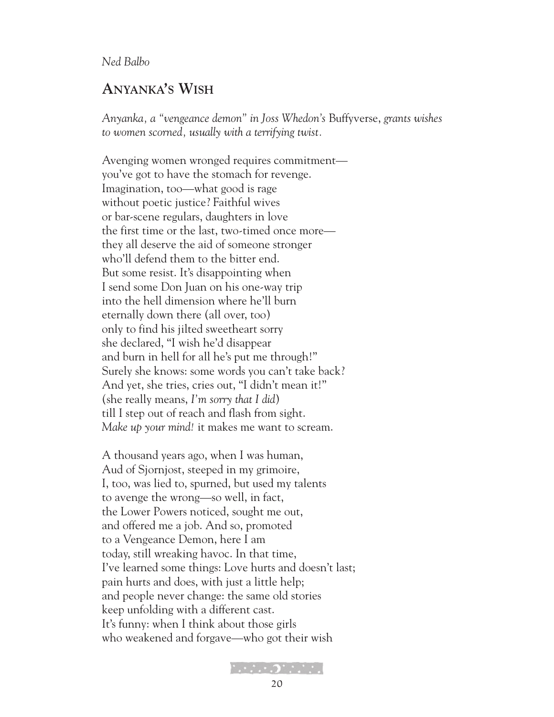## *Ned Balbo*

## **ANYANKA'S WISH**

*Anyanka, a "vengeance demon" in Joss Whedon's* Buffyverse, *grants wishes to women scorned, usually with a terrifying twist.*

Avenging women wronged requires commitment you've got to have the stomach for revenge. Imagination, too—what good is rage without poetic justice? Faithful wives or bar-scene regulars, daughters in love the first time or the last, two-timed once more they all deserve the aid of someone stronger who'll defend them to the bitter end. But some resist. It's disappointing when I send some Don Juan on his one-way trip into the hell dimension where he'll burn eternally down there (all over, too) only to find his jilted sweetheart sorry she declared, "I wish he'd disappear and burn in hell for all he's put me through!" Surely she knows: some words you can't take back? And yet, she tries, cries out, "I didn't mean it!" (she really means, *I'm sorry that I did*) till I step out of reach and flash from sight. *Make up your mind!* it makes me want to scream.

A thousand years ago, when I was human, Aud of Sjornjost, steeped in my grimoire, I, too, was lied to, spurned, but used my talents to avenge the wrong—so well, in fact, the Lower Powers noticed, sought me out, and offered me a job. And so, promoted to a Vengeance Demon, here I am today, still wreaking havoc. In that time, I've learned some things: Love hurts and doesn't last; pain hurts and does, with just a little help; and people never change: the same old stories keep unfolding with a different cast. It's funny: when I think about those girls who weakened and forgave—who got their wish